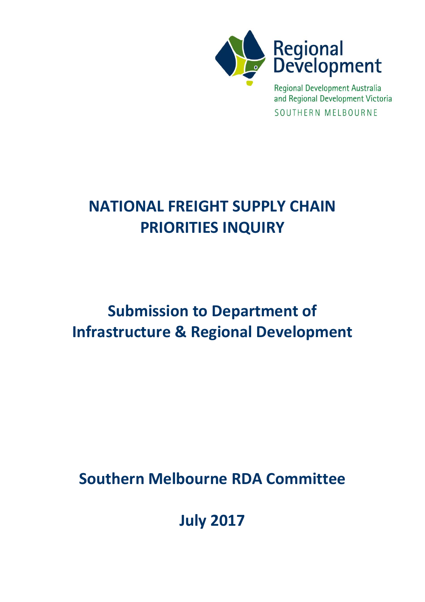

Regional Development Australia and Regional Development Victoria SOUTHERN MELBOURNE

# **NATIONAL FREIGHT SUPPLY CHAIN PRIORITIES INQUIRY**

# **Submission to Department of Infrastructure & Regional Development**

**Southern Melbourne RDA Committee**

**July 2017**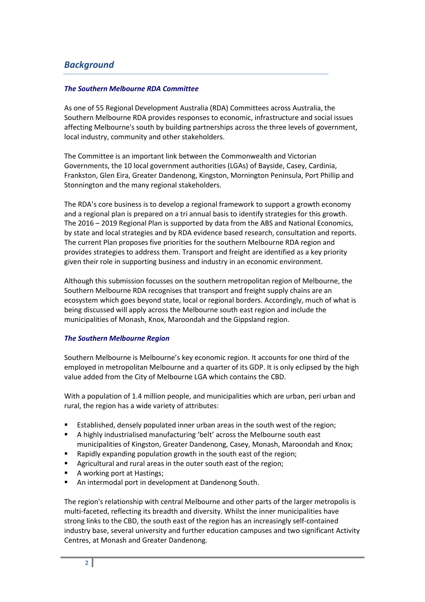# *Background*

### *The Southern Melbourne RDA Committee*

As one of 55 Regional Development Australia (RDA) Committees across Australia, the Southern Melbourne RDA provides responses to economic, infrastructure and social issues affecting Melbourne's south by building partnerships across the three levels of government, local industry, community and other stakeholders.

The Committee is an important link between the Commonwealth and Victorian Governments, the 10 local government authorities (LGAs) of Bayside, Casey, Cardinia, Frankston, Glen Eira, Greater Dandenong, Kingston, Mornington Peninsula, Port Phillip and Stonnington and the many regional stakeholders.

The RDA's core business is to develop a regional framework to support a growth economy and a regional plan is prepared on a tri annual basis to identify strategies for this growth. The 2016 – 2019 Regional Plan is supported by data from the ABS and National Economics, by state and local strategies and by RDA evidence based research, consultation and reports. The current Plan proposes five priorities for the southern Melbourne RDA region and provides strategies to address them. Transport and freight are identified as a key priority given their role in supporting business and industry in an economic environment.

Although this submission focusses on the southern metropolitan region of Melbourne, the Southern Melbourne RDA recognises that transport and freight supply chains are an ecosystem which goes beyond state, local or regional borders. Accordingly, much of what is being discussed will apply across the Melbourne south east region and include the municipalities of Monash, Knox, Maroondah and the Gippsland region.

#### *The Southern Melbourne Region*

Southern Melbourne is Melbourne's key economic region. It accounts for one third of the employed in metropolitan Melbourne and a quarter of its GDP. It is only eclipsed by the high value added from the City of Melbourne LGA which contains the CBD.

With a population of 1.4 million people, and municipalities which are urban, peri urban and rural, the region has a wide variety of attributes:

- Established, densely populated inner urban areas in the south west of the region;
- A highly industrialised manufacturing 'belt' across the Melbourne south east municipalities of Kingston, Greater Dandenong, Casey, Monash, Maroondah and Knox;
- Rapidly expanding population growth in the south east of the region;
- **Agricultural and rural areas in the outer south east of the region;**
- A working port at Hastings;
- An intermodal port in development at Dandenong South.

The region's relationship with central Melbourne and other parts of the larger metropolis is multi-faceted, reflecting its breadth and diversity. Whilst the inner municipalities have strong links to the CBD, the south east of the region has an increasingly self-contained industry base, several university and further education campuses and two significant Activity Centres, at Monash and Greater Dandenong.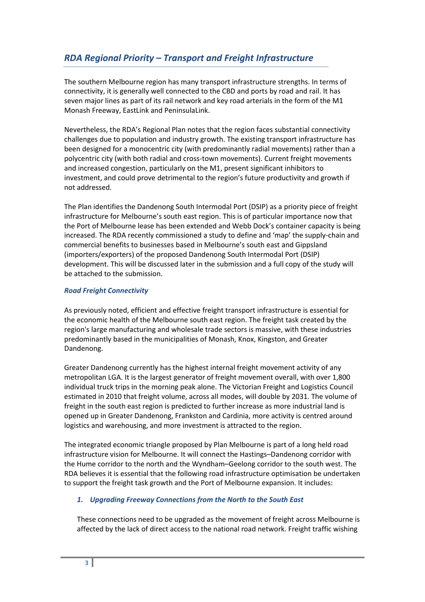# *RDA Regional Priority – Transport and Freight Infrastructure*

The southern Melbourne region has many transport infrastructure strengths. In terms of connectivity, it is generally well connected to the CBD and ports by road and rail. It has seven major lines as part of its rail network and key road arterials in the form of the M1 Monash Freeway, EastLink and PeninsulaLink.

Nevertheless, the RDA's Regional Plan notes that the region faces substantial connectivity challenges due to population and industry growth. The existing transport infrastructure has been designed for a monocentric city (with predominantly radial movements) rather than a polycentric city (with both radial and cross-town movements). Current freight movements and increased congestion, particularly on the M1, present significant inhibitors to investment, and could prove detrimental to the region's future productivity and growth if not addressed.

The Plan identifies the Dandenong South Intermodal Port (DSIP) as a priority piece of freight infrastructure for Melbourne's south east region. This is of particular importance now that the Port of Melbourne lease has been extended and Webb Dock's container capacity is being increased. The RDA recently commissioned a study to define and 'map' the supply-chain and commercial benefits to businesses based in Melbourne's south east and Gippsland (importers/exporters) of the proposed Dandenong South Intermodal Port (DSIP) development. This will be discussed later in the submission and a full copy of the study will be attached to the submission.

## *Road Freight Connectivity*

As previously noted, efficient and effective freight transport infrastructure is essential for the economic health of the Melbourne south east region. The freight task created by the region's large manufacturing and wholesale trade sectors is massive, with these industries predominantly based in the municipalities of Monash, Knox, Kingston, and Greater Dandenong.

Greater Dandenong currently has the highest internal freight movement activity of any metropolitan LGA. It is the largest generator of freight movement overall, with over 1,800 individual truck trips in the morning peak alone. The Victorian Freight and Logistics Council estimated in 2010 that freight volume, across all modes, will double by 2031. The volume of freight in the south east region is predicted to further increase as more industrial land is opened up in Greater Dandenong, Frankston and Cardinia, more activity is centred around logistics and warehousing, and more investment is attracted to the region.

The integrated economic triangle proposed by Plan Melbourne is part of a long held road infrastructure vision for Melbourne. It will connect the Hastings–Dandenong corridor with the Hume corridor to the north and the Wyndham–Geelong corridor to the south west. The RDA believes it is essential that the following road infrastructure optimisation be undertaken to support the freight task growth and the Port of Melbourne expansion. It includes:

# *1. Upgrading Freeway Connections from the North to the South East*

These connections need to be upgraded as the movement of freight across Melbourne is affected by the lack of direct access to the national road network. Freight traffic wishing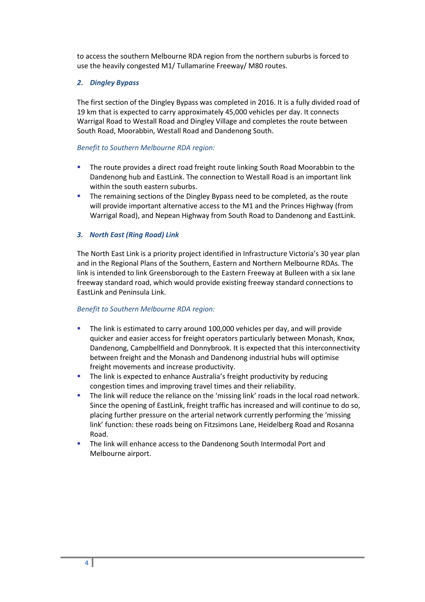to access the southern Melbourne RDA region from the northern suburbs is forced to use the heavily congested M1/ Tullamarine Freeway/ M80 routes.

## *2. Dingley Bypass*

The first section of the Dingley Bypass was completed in 2016. It is a fully divided road of 19 km that is expected to carry approximately 45,000 vehicles per day. It connects Warrigal Road to Westall Road and Dingley Village and completes the route between South Road, Moorabbin, Westall Road and Dandenong South.

## *Benefit to Southern Melbourne RDA region:*

- The route provides a direct road freight route linking South Road Moorabbin to the Dandenong hub and EastLink. The connection to Westall Road is an important link within the south eastern suburbs.
- **The remaining sections of the Dingley Bypass need to be completed, as the route** will provide important alternative access to the M1 and the Princes Highway (from Warrigal Road), and Nepean Highway from South Road to Dandenong and EastLink.

# *3. North East (Ring Road) Link*

The North East Link is a priority project identified in [Infrastructure Victoria's](http://www.infrastructurevictoria.com.au/) 30 year plan and in the Regional Plans of the Southern, Eastern and Northern Melbourne RDAs. The link is intended to link Greensborough to the Eastern Freeway at Bulleen with a six lane freeway standard road, which would provide existing freeway standard connections to EastLink and Peninsula Link.

#### *Benefit to Southern Melbourne RDA region:*

- The link is estimated to carry around 100,000 vehicles per day, and will provide quicker and easier access for freight operators particularly between Monash, Knox, Dandenong, Campbellfield and Donnybrook. It is expected that this interconnectivity between freight and the Monash and Dandenong industrial hubs will optimise freight movements and increase productivity.
- The link is expected to enhance Australia's freight productivity by reducing congestion times and improving travel times and their reliability.
- The link will reduce the reliance on the 'missing link' roads in the local road network. Since the opening of EastLink, freight traffic has increased and will continue to do so, placing further pressure on the arterial network currently performing the 'missing link' function: these roads being on Fitzsimons Lane, Heidelberg Road and Rosanna Road.
- The link will enhance access to the Dandenong South Intermodal Port and Melbourne airport.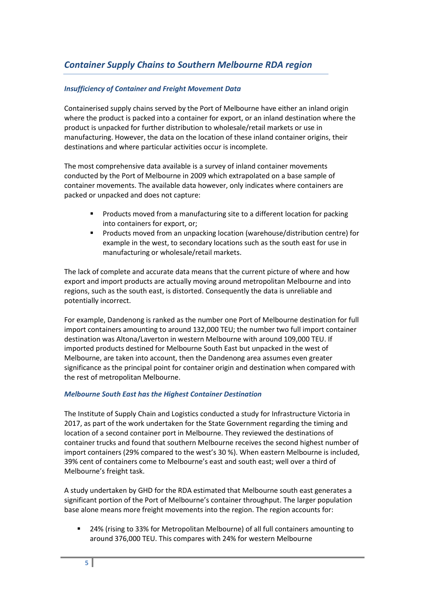# *Container Supply Chains to Southern Melbourne RDA region*

# *Insufficiency of Container and Freight Movement Data*

Containerised supply chains served by the Port of Melbourne have either an inland origin where the product is packed into a container for export, or an inland destination where the product is unpacked for further distribution to wholesale/retail markets or use in manufacturing. However, the data on the location of these inland container origins, their destinations and where particular activities occur is incomplete.

The most comprehensive data available is a survey of inland container movements conducted by the Port of Melbourne in 2009 which extrapolated on a base sample of container movements. The available data however, only indicates where containers are packed or unpacked and does not capture:

- **Products moved from a manufacturing site to a different location for packing** into containers for export, or;
- Products moved from an unpacking location (warehouse/distribution centre) for example in the west, to secondary locations such as the south east for use in manufacturing or wholesale/retail markets.

The lack of complete and accurate data means that the current picture of where and how export and import products are actually moving around metropolitan Melbourne and into regions, such as the south east, is distorted. Consequently the data is unreliable and potentially incorrect.

For example, Dandenong is ranked as the number one Port of Melbourne destination for full import containers amounting to around 132,000 TEU; the number two full import container destination was Altona/Laverton in western Melbourne with around 109,000 TEU. If imported products destined for Melbourne South East but unpacked in the west of Melbourne, are taken into account, then the Dandenong area assumes even greater significance as the principal point for container origin and destination when compared with the rest of metropolitan Melbourne.

#### *Melbourne South East has the Highest Container Destination*

The Institute of Supply Chain and Logistics conducted a study for Infrastructure Victoria in 2017, as part of the work undertaken for the State Government regarding the timing and location of a second container port in Melbourne. They reviewed the destinations of container trucks and found that southern Melbourne receives the second highest number of import containers (29% compared to the west's 30 %). When eastern Melbourne is included, 39% cent of containers come to Melbourne's east and south east; well over a third of Melbourne's freight task.

A study undertaken by GHD for the RDA estimated that Melbourne south east generates a significant portion of the Port of Melbourne's container throughput. The larger population base alone means more freight movements into the region. The region accounts for:

 24% (rising to 33% for Metropolitan Melbourne) of all full containers amounting to around 376,000 TEU. This compares with 24% for western Melbourne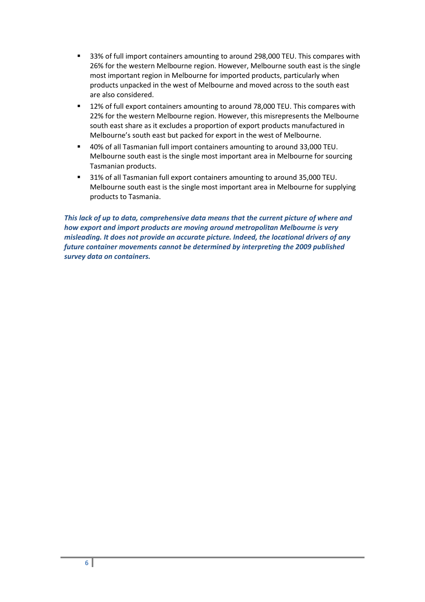- 33% of full import containers amounting to around 298,000 TEU. This compares with 26% for the western Melbourne region. However, Melbourne south east is the single most important region in Melbourne for imported products, particularly when products unpacked in the west of Melbourne and moved across to the south east are also considered.
- 12% of full export containers amounting to around 78,000 TEU. This compares with 22% for the western Melbourne region. However, this misrepresents the Melbourne south east share as it excludes a proportion of export products manufactured in Melbourne's south east but packed for export in the west of Melbourne.
- 40% of all Tasmanian full import containers amounting to around 33,000 TEU. Melbourne south east is the single most important area in Melbourne for sourcing Tasmanian products.
- <sup>31%</sup> of all Tasmanian full export containers amounting to around 35,000 TEU. Melbourne south east is the single most important area in Melbourne for supplying products to Tasmania.

*This lack of up to data, comprehensive data means that the current picture of where and how export and import products are moving around metropolitan Melbourne is very misleading. It does not provide an accurate picture. Indeed, the locational drivers of any future container movements cannot be determined by interpreting the 2009 published survey data on containers.*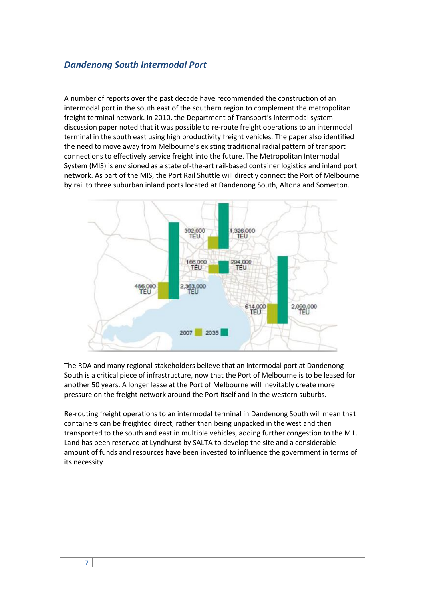A number of reports over the past decade have recommended the construction of an intermodal port in the south east of the southern region to complement the metropolitan freight terminal network. In 2010, the Department of Transport's intermodal system discussion paper noted that it was possible to re-route freight operations to an intermodal terminal in the south east using high productivity freight vehicles. The paper also identified the need to move away from Melbourne's existing traditional radial pattern of transport connections to effectively service freight into the future. The Metropolitan Intermodal System (MIS) is envisioned as a state of-the-art rail-based container logistics and inland port network. As part of the MIS, the Port Rail Shuttle will directly connect the Port of Melbourne by rail to three suburban inland ports located at Dandenong South, Altona and Somerton.



The RDA and many regional stakeholders believe that an intermodal port at Dandenong South is a critical piece of infrastructure, now that the Port of Melbourne is to be leased for another 50 years. A longer lease at the Port of Melbourne will inevitably create more pressure on the freight network around the Port itself and in the western suburbs.

Re-routing freight operations to an intermodal terminal in Dandenong South will mean that containers can be freighted direct, rather than being unpacked in the west and then transported to the south and east in multiple vehicles, adding further congestion to the M1. Land has been reserved at Lyndhurst by SALTA to develop the site and a considerable amount of funds and resources have been invested to influence the government in terms of its necessity.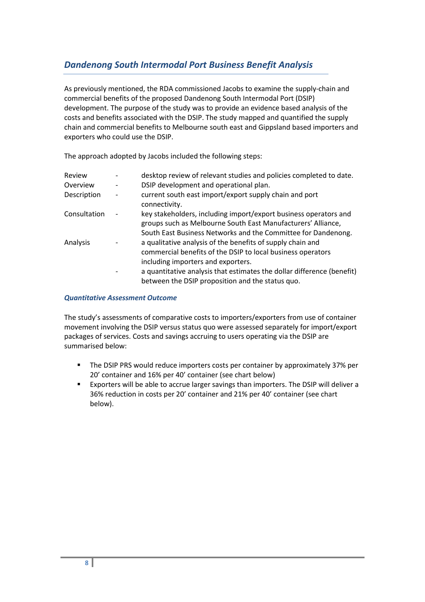# *Dandenong South Intermodal Port Business Benefit Analysis*

As previously mentioned, the RDA commissioned Jacobs to examine the supply-chain and commercial benefits of the proposed Dandenong South Intermodal Port (DSIP) development. The purpose of the study was to provide an evidence based analysis of the costs and benefits associated with the DSIP. The study mapped and quantified the supply chain and commercial benefits to Melbourne south east and Gippsland based importers and exporters who could use the DSIP.

The approach adopted by Jacobs included the following steps:

| Review       | desktop review of relevant studies and policies completed to date.                                                                                                                                |  |
|--------------|---------------------------------------------------------------------------------------------------------------------------------------------------------------------------------------------------|--|
| Overview     | DSIP development and operational plan.                                                                                                                                                            |  |
| Description  | current south east import/export supply chain and port<br>connectivity.                                                                                                                           |  |
| Consultation | key stakeholders, including import/export business operators and<br>groups such as Melbourne South East Manufacturers' Alliance,<br>South East Business Networks and the Committee for Dandenong. |  |
| Analysis     | a qualitative analysis of the benefits of supply chain and<br>commercial benefits of the DSIP to local business operators<br>including importers and exporters.                                   |  |
|              | a quantitative analysis that estimates the dollar difference (benefit)<br>between the DSIP proposition and the status quo.                                                                        |  |

### *Quantitative Assessment Outcome*

The study's assessments of comparative costs to importers/exporters from use of container movement involving the DSIP versus status quo were assessed separately for import/export packages of services. Costs and savings accruing to users operating via the DSIP are summarised below:

- The DSIP PRS would reduce importers costs per container by approximately 37% per 20' container and 16% per 40' container (see chart below)
- Exporters will be able to accrue larger savings than importers. The DSIP will deliver a 36% reduction in costs per 20' container and 21% per 40' container (see chart below).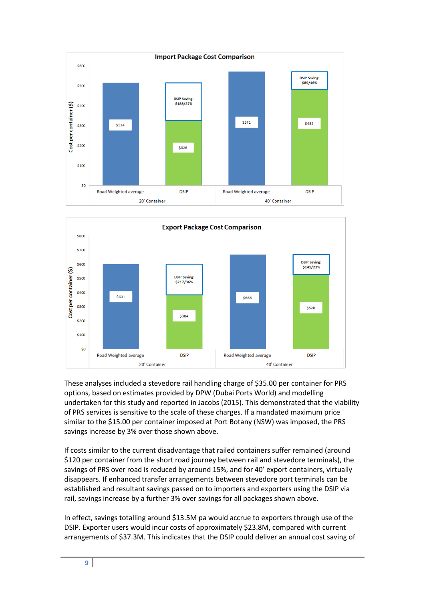



These analyses included a stevedore rail handling charge of \$35.00 per container for PRS options, based on estimates provided by DPW (Dubai Ports World) and modelling undertaken for this study and reported in Jacobs (2015). This demonstrated that the viability of PRS services is sensitive to the scale of these charges. If a mandated maximum price similar to the \$15.00 per container imposed at Port Botany (NSW) was imposed, the PRS savings increase by 3% over those shown above.

If costs similar to the current disadvantage that railed containers suffer remained (around \$120 per container from the short road journey between rail and stevedore terminals), the savings of PRS over road is reduced by around 15%, and for 40' export containers, virtually disappears. If enhanced transfer arrangements between stevedore port terminals can be established and resultant savings passed on to importers and exporters using the DSIP via rail, savings increase by a further 3% over savings for all packages shown above.

In effect, savings totalling around \$13.5M pa would accrue to exporters through use of the DSIP. Exporter users would incur costs of approximately \$23.8M, compared with current arrangements of \$37.3M. This indicates that the DSIP could deliver an annual cost saving of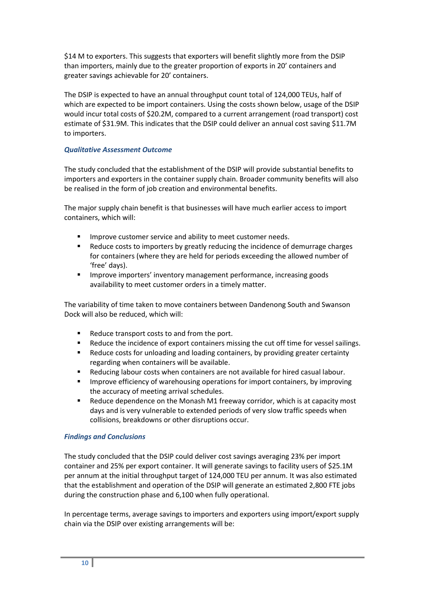\$14 M to exporters. This suggests that exporters will benefit slightly more from the DSIP than importers, mainly due to the greater proportion of exports in 20' containers and greater savings achievable for 20' containers.

The DSIP is expected to have an annual throughput count total of 124,000 TEUs, half of which are expected to be import containers. Using the costs shown below, usage of the DSIP would incur total costs of \$20.2M, compared to a current arrangement (road transport) cost estimate of \$31.9M. This indicates that the DSIP could deliver an annual cost saving \$11.7M to importers.

## *Qualitative Assessment Outcome*

The study concluded that the establishment of the DSIP will provide substantial benefits to importers and exporters in the container supply chain. Broader community benefits will also be realised in the form of job creation and environmental benefits.

The major supply chain benefit is that businesses will have much earlier access to import containers, which will:

- Improve customer service and ability to meet customer needs.
- **Reduce costs to importers by greatly reducing the incidence of demurrage charges** for containers (where they are held for periods exceeding the allowed number of 'free' days).
- Improve importers' inventory management performance, increasing goods availability to meet customer orders in a timely matter.

The variability of time taken to move containers between Dandenong South and Swanson Dock will also be reduced, which will:

- Reduce transport costs to and from the port.
- Reduce the incidence of export containers missing the cut off time for vessel sailings.
- Reduce costs for unloading and loading containers, by providing greater certainty regarding when containers will be available.
- Reducing labour costs when containers are not available for hired casual labour.
- Improve efficiency of warehousing operations for import containers, by improving the accuracy of meeting arrival schedules.
- Reduce dependence on the Monash M1 freeway corridor, which is at capacity most days and is very vulnerable to extended periods of very slow traffic speeds when collisions, breakdowns or other disruptions occur.

# *Findings and Conclusions*

The study concluded that the DSIP could deliver cost savings averaging 23% per import container and 25% per export container. It will generate savings to facility users of \$25.1M per annum at the initial throughput target of 124,000 TEU per annum. It was also estimated that the establishment and operation of the DSIP will generate an estimated 2,800 FTE jobs during the construction phase and 6,100 when fully operational.

In percentage terms, average savings to importers and exporters using import/export supply chain via the DSIP over existing arrangements will be: